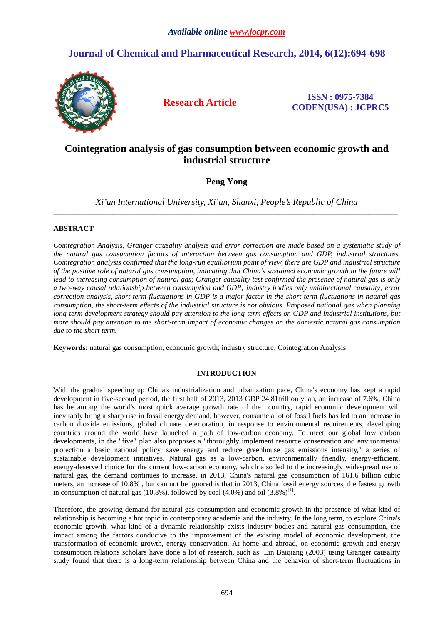# **Journal of Chemical and Pharmaceutical Research, 2014, 6(12):694-698**



**Research Article ISSN : 0975-7384 CODEN(USA) : JCPRC5**

# **Cointegration analysis of gas consumption between economic growth and industrial structure**

**Peng Yong** 

*Xi'an International University, Xi'an, Shanxi, People's Republic of China*  \_\_\_\_\_\_\_\_\_\_\_\_\_\_\_\_\_\_\_\_\_\_\_\_\_\_\_\_\_\_\_\_\_\_\_\_\_\_\_\_\_\_\_\_\_\_\_\_\_\_\_\_\_\_\_\_\_\_\_\_\_\_\_\_\_\_\_\_\_\_\_\_\_\_\_\_\_\_\_\_\_\_\_\_\_\_\_\_\_\_\_\_\_

## **ABSTRACT**

*Cointegration Analysis, Granger causality analysis and error correction are made based on a systematic study of the natural gas consumption factors of interaction between gas consumption and GDP, industrial structures. Cointegration analysis confirmed that the long-run equilibrium point of view, there are GDP and industrial structure of the positive role of natural gas consumption, indicating that China's sustained economic growth in the future will*  lead to increasing consumption of natural gas; Granger causality test confirmed the presence of natural gas is only *a two-way causal relationship between consumption and GDP; industry bodies only unidirectional causality; error correction analysis, short-term fluctuations in GDP is a major factor in the short-term fluctuations in natural gas consumption, the short-term effects of the industrial structure is not obvious. Proposed national gas when planning long-term development strategy should pay attention to the long-term effects on GDP and industrial institutions, but more should pay attention to the short-term impact of economic changes on the domestic natural gas consumption due to the short term.* 

**Keywords:** natural gas consumption; economic growth; industry structure; Cointegration Analysis

## **INTRODUCTION**

 $\overline{a}$  , and the contribution of the contribution of the contribution of the contribution of the contribution of the contribution of the contribution of the contribution of the contribution of the contribution of the co

With the gradual speeding up China's industrialization and urbanization pace, China's economy has kept a rapid development in five-second period, the first half of 2013, 2013 GDP 24.81trillion yuan, an increase of 7.6%, China has be among the world's most quick average growth rate of the country, rapid economic development will inevitably bring a sharp rise in fossil energy demand, however, consume a lot of fossil fuels has led to an increase in carbon dioxide emissions, global climate deterioration, in response to environmental requirements, developing countries around the world have launched a path of low-carbon economy. To meet our global low carbon developments, in the "five" plan also proposes a "thoroughly implement resource conservation and environmental protection a basic national policy, save energy and reduce greenhouse gas emissions intensity," a series of sustainable development initiatives. Natural gas as a low-carbon, environmentally friendly, energy-efficient, energy-deserved choice for the current low-carbon economy, which also led to the increasingly widespread use of natural gas, the demand continues to increase, in 2013, China's natural gas consumption of 161.6 billion cubic meters, an increase of 10.8% , but can not be ignored is that in 2013, China fossil energy sources, the fastest growth in consumption of natural gas (10.8%), followed by coal (4.0%) and oil  $(3.8\%)^{[1]}$ .

Therefore, the growing demand for natural gas consumption and economic growth in the presence of what kind of relationship is becoming a hot topic in contemporary academia and the industry. In the long term, to explore China's economic growth, what kind of a dynamic relationship exists industry bodies and natural gas consumption, the impact among the factors conducive to the improvement of the existing model of economic development, the transformation of economic growth, energy conservation. At home and abroad, on economic growth and energy consumption relations scholars have done a lot of research, such as: Lin Baiqiang (2003) using Granger causality study found that there is a long-term relationship between China and the behavior of short-term fluctuations in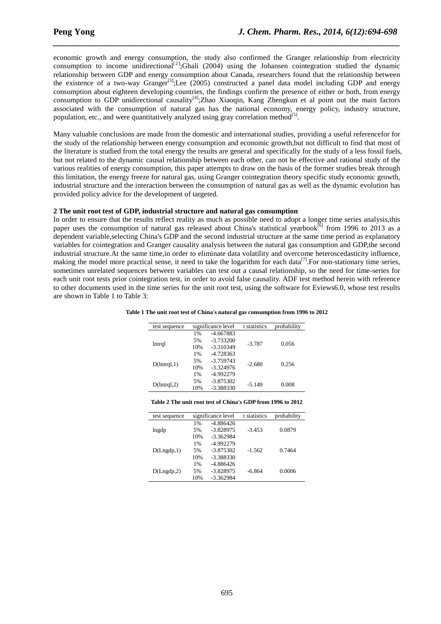economic growth and energy consumption, the study also confirmed the Granger relationship from electricity consumption to income unidirectional<sup>[2]</sup>;Ghali (2004) using the Johansen cointegration studied the dynamic relationship between GDP and energy consumption about Canada, researchers found that the relationship between the existence of a two-way Granger[3];Lee (2005) constructed a panel data model including GDP and energy consumption about eighteen developing countries, the findings confirm the presence of either or both, from energy consumption to GDP unidirectional causality<sup>[4]</sup>;Zhao Xiaoqin, Kang Zhengkun et al point out the main factors associated with the consumption of natural gas has the national economy, energy policy, industry structure, population, etc., and were quantitatively analyzed using gray correlation method<sup>[5]</sup>.

*\_\_\_\_\_\_\_\_\_\_\_\_\_\_\_\_\_\_\_\_\_\_\_\_\_\_\_\_\_\_\_\_\_\_\_\_\_\_\_\_\_\_\_\_\_\_\_\_\_\_\_\_\_\_\_\_\_\_\_\_\_\_\_\_\_\_\_\_\_\_\_\_\_\_\_\_\_\_*

Many valuable conclusions are made from the domestic and international studies, providing a useful referencefor for the study of the relationship between energy consumption and economic growth,but not difficult to find that most of the literature is studied from the total energy the results are general and specifically for the study of a less fossil fuels, but not related to the dynamic causal relationship between each other, can not be effective and rational study of the various realities of energy consumption, this paper attempts to draw on the basis of the former studies break through this limitation, the energy freeze for natural gas, using Granger cointegration theory specific study economic growth, industrial structure and the interaction between the consumption of natural gas as well as the dynamic evolution has provided policy advice for the development of targeted.

### **2 The unit root test of GDP, industrial structure and natural gas consumption**

In order to ensure that the results reflect reality as much as possible need to adopt a longer time series analysis,this paper uses the consumption of natural gas released about China's statistical yearbook<sup>[6]</sup> from 1996 to 2013 as a dependent variable,selecting China's GDP and the second industrial structure at the same time period as explanatory variables for cointegration and Granger causality analysis between the natural gas consumption and GDP,the second industrial structure.At the same time,in order to eliminate data volatility and overcome heteroscedasticity influence, making the model more practical sense, it need to take the logarithm for each data<sup>[7]</sup>. For non-stationary time series, sometimes unrelated sequences between variables can test out a causal relationship, so the need for time-series for each unit root tests prior cointegration test, in order to avoid false causality. ADF test method herein with reference to other documents used in the time series for the unit root test, using the software for Eviews6.0, whose test results are shown in Table 1 to Table 3:

| Table 1 The unit root test of China's natural gas consumption from 1996 to 2012 |  |
|---------------------------------------------------------------------------------|--|
|---------------------------------------------------------------------------------|--|

| test sequence  |     | significance level | t statistics | probability |
|----------------|-----|--------------------|--------------|-------------|
|                | 1%  | $-4.667883$        |              |             |
|                | 5%  | $-3.733200$        | $-3.787$     | 0.056       |
| <i>lntrql</i>  | 10% | $-3.310349$        |              |             |
|                | 1%  | $-4.728363$        |              |             |
|                | 5%  | $-3.759743$        |              | 0.256       |
| $D($ lntrql,1) | 10% | $-3.324976$        | $-2.680$     |             |
|                | 1%  | -4.992279          |              |             |
|                | 5%  | $-3.875302$        |              |             |
| $D($ lntrql,2) | 10% | $-3.388330$        | $-5.149$     | 0.008       |

#### **Table 2 The unit root test of China's GDP from 1996 to 2012**

| test sequence |       | significance level | t statistics | probability |
|---------------|-------|--------------------|--------------|-------------|
|               | $1\%$ | $-4.886426$        |              |             |
| lngdp         | 5%    | $-3.828975$        | $-3.453$     | 0.0879      |
|               | 10%   | $-3.362984$        |              |             |
|               | $1\%$ | -4.992279          |              |             |
| D(Lngdp,1)    | 5%    | $-3.875302$        | $-1.562$     | 0.7464      |
|               | 10%   | $-3.388330$        |              |             |
|               | $1\%$ | -4.886426          |              |             |
| D(Lngdp, 2)   | 5%    | $-3.828975$        | $-6.864$     | 0.0006      |
|               | 10%   | $-3.362984$        |              |             |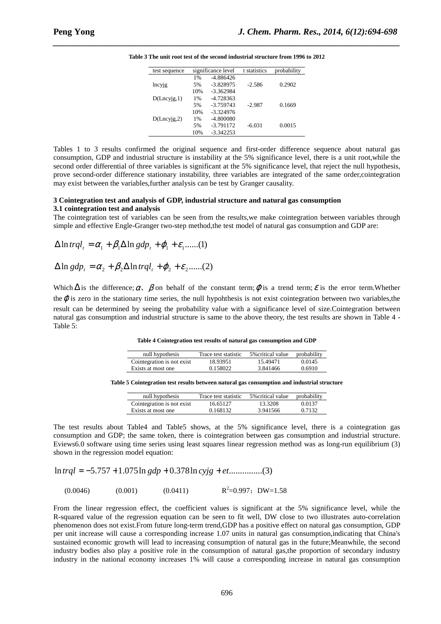| test sequence | significance level |             | t statistics | probability |
|---------------|--------------------|-------------|--------------|-------------|
|               | 1%                 | $-4.886426$ |              |             |
| lncyjg        | 5%                 | $-3.828975$ | $-2.586$     | 0.2902      |
|               | 10%                | $-3.362984$ |              |             |
| D(Lncvig, 1)  | 1%                 | $-4.728363$ |              |             |
|               | 5%                 | $-3.759743$ | $-2.987$     | 0.1669      |
|               | 10%                | $-3.324976$ |              |             |
| D(Lncvig, 2)  | $1\%$              | $-4.800080$ |              |             |
|               | 5%                 | $-3.791172$ | $-6.031$     | 0.0015      |
|               | 10%                | $-3.342253$ |              |             |

*\_\_\_\_\_\_\_\_\_\_\_\_\_\_\_\_\_\_\_\_\_\_\_\_\_\_\_\_\_\_\_\_\_\_\_\_\_\_\_\_\_\_\_\_\_\_\_\_\_\_\_\_\_\_\_\_\_\_\_\_\_\_\_\_\_\_\_\_\_\_\_\_\_\_\_\_\_\_*

Tables 1 to 3 results confirmed the original sequence and first-order difference sequence about natural gas consumption, GDP and industrial structure is instability at the 5% significance level, there is a unit root,while the second order differential of three variables is significant at the 5% significance level, that reject the null hypothesis, prove second-order difference stationary instability, three variables are integrated of the same order,cointegration may exist between the variables,further analysis can be test by Granger causality.

#### **3 Cointegration test and analysis of GDP, industrial structure and natural gas consumption 3.1 cointegration test and analysis**

The cointegration test of variables can be seen from the results,we make cointegration between variables through simple and effective Engle-Granger two-step method,the test model of natural gas consumption and GDP are:

$$
\Delta \ln tr q l_{t} = \alpha_{1} + \beta_{1} \Delta \ln g dp_{t} + \varphi_{1} + \varepsilon_{1} \dots (1)
$$

$$
\Delta \ln gdp_t = \alpha_2 + \beta_2 \Delta \ln trql_t + \varphi_2 + \varepsilon_2 \ldots (2)
$$

Which  $\Delta$  is the difference;  $\alpha$ ,  $\beta$  on behalf of the constant term;  $\varphi$  is a trend term;  $\varepsilon$  is the error term. Whether the  $\varphi$  is zero in the stationary time series, the null hypohthesis is not exist cointegration between two variables, the result can be determined by seeing the probability value with a significance level of size.Cointegration between natural gas consumption and industrial structure is same to the above theory, the test results are shown in Table 4 - Table 5:

|  | Table 4 Cointegration test results of natural gas consumption and GDP |
|--|-----------------------------------------------------------------------|
|  |                                                                       |

| null hypothesis             | Trace test statistic | 5% critical value | probability |
|-----------------------------|----------------------|-------------------|-------------|
| Cointegration is not exist. | 18.93951             | 15.49471          | 0.0145      |
| Exists at most one          | 0.158022             | 3.841466          | 0.6910      |

**Table 5 Cointegration test results between natural gas consumption and industrial structure** 

| null hypothesis             | Trace test statistic | 5% critical value | probability |
|-----------------------------|----------------------|-------------------|-------------|
| Cointegration is not exist. | 16.65127             | 13.3208           | 0.0137      |
| Exists at most one          | 0.168132             | 3.941566          | 0.7132      |

The test results about Table4 and Table5 shows, at the 5% significance level, there is a cointegration gas consumption and GDP; the same token, there is cointegration between gas consumption and industrial structure. Eviews6.0 software using time series using least squares linear regression method was as long-run equilibrium (3) shown in the regression model equation:

ln*trql* = − 757.5 + 075.1 ln *gdp* + 378.0 ln *cyjg* + *et*...............( )3

 $(0.0046)$   $(0.001)$   $(0.0411)$  $R^2=0.997$ ; DW=1.58

From the linear regression effect, the coefficient values is significant at the 5% significance level, while the R-squared value of the regression equation can be seen to fit well, DW close to two illustrates auto-correlation phenomenon does not exist.From future long-term trend,GDP has a positive effect on natural gas consumption, GDP per unit increase will cause a corresponding increase 1.07 units in natural gas consumption,indicating that China's sustained economic growth will lead to increasing consumption of natural gas in the future;Meanwhile, the second industry bodies also play a positive role in the consumption of natural gas,the proportion of secondary industry industry in the national economy increases 1% will cause a corresponding increase in natural gas consumption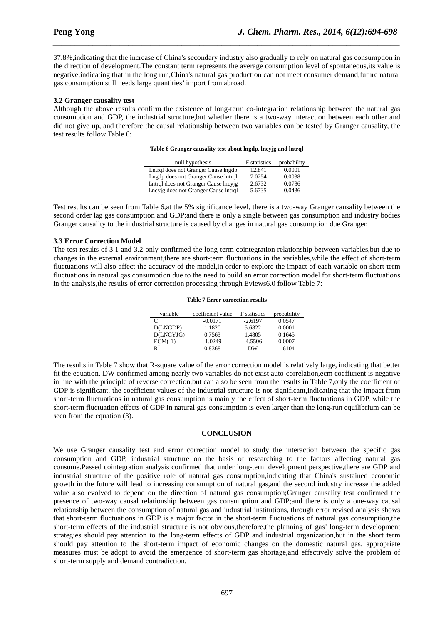37.8%,indicating that the increase of China's secondary industry also gradually to rely on natural gas consumption in the direction of development.The constant term represents the average consumption level of spontaneous,its value is negative,indicating that in the long run,China's natural gas production can not meet consumer demand,future natural gas consumption still needs large quantities' import from abroad.

*\_\_\_\_\_\_\_\_\_\_\_\_\_\_\_\_\_\_\_\_\_\_\_\_\_\_\_\_\_\_\_\_\_\_\_\_\_\_\_\_\_\_\_\_\_\_\_\_\_\_\_\_\_\_\_\_\_\_\_\_\_\_\_\_\_\_\_\_\_\_\_\_\_\_\_\_\_\_*

#### **3.2 Granger causality test**

Although the above results confirm the existence of long-term co-integration relationship between the natural gas consumption and GDP, the industrial structure,but whether there is a two-way interaction between each other and did not give up, and therefore the causal relationship between two variables can be tested by Granger causality, the test results follow Table 6:

| null hypothesis                      | <b>F</b> statistics | probability |
|--------------------------------------|---------------------|-------------|
| Lntrql does not Granger Cause Ingdp  | 12.841              | 0.0001      |
| Lngdp does not Granger Cause Introl  | 7.0254              | 0.0038      |
| Lntrql does not Granger Cause lncyjg | 2.6732              | 0.0786      |
| Lncyjg does not Granger Cause Intrql | 5.6735              | 0.0436      |

| Table 6 Granger causality test about lngdp, lncyjg and lntrql |  |  |  |
|---------------------------------------------------------------|--|--|--|
|                                                               |  |  |  |

Test results can be seen from Table 6,at the 5% significance level, there is a two-way Granger causality between the second order lag gas consumption and GDP;and there is only a single between gas consumption and industry bodies Granger causality to the industrial structure is caused by changes in natural gas consumption due Granger.

#### **3.3 Error Correction Model**

The test results of 3.1 and 3.2 only confirmed the long-term cointegration relationship between variables,but due to changes in the external environment,there are short-term fluctuations in the variables,while the effect of short-term fluctuations will also affect the accuracy of the model,in order to explore the impact of each variable on short-term fluctuations in natural gas consumption due to the need to build an error correction model for short-term fluctuations in the analysis,the results of error correction processing through Eviews6.0 follow Table 7:

#### **Table 7 Error correction results**

| variable       | coefficient value | <b>F</b> statistics | probability |
|----------------|-------------------|---------------------|-------------|
| C              | $-0.0171$         | $-2.6197$           | 0.0547      |
| D(LNGDP)       | 1.1820            | 5.6822              | 0.0001      |
| D(LNCYJG)      | 0.7563            | 1.4805              | 0.1645      |
| $ECM(-1)$      | $-1.0249$         | $-4.5506$           | 0.0007      |
| $\mathbf{R}^2$ | 0.8368            | DW                  | 1.6104      |

The results in Table 7 show that R-square value of the error correction model is relatively large, indicating that better fit the equation, DW confirmed among nearly two variables do not exist auto-correlation,ecm coefficient is negative in line with the principle of reverse correction,but can also be seen from the results in Table 7,only the coefficient of GDP is significant, the coefficient values of the industrial structure is not significant, indicating that the impact from short-term fluctuations in natural gas consumption is mainly the effect of short-term fluctuations in GDP, while the short-term fluctuation effects of GDP in natural gas consumption is even larger than the long-run equilibrium can be seen from the equation (3).

#### **CONCLUSION**

We use Granger causality test and error correction model to study the interaction between the specific gas consumption and GDP, industrial structure on the basis of researching to the factors affecting natural gas consume.Passed cointegration analysis confirmed that under long-term development perspective,there are GDP and industrial structure of the positive role of natural gas consumption,indicating that China's sustained economic growth in the future will lead to increasing consumption of natural gas,and the second industry increase the added value also evolved to depend on the direction of natural gas consumption;Granger causality test confirmed the presence of two-way causal relationship between gas consumption and GDP;and there is only a one-way causal relationship between the consumption of natural gas and industrial institutions, through error revised analysis shows that short-term fluctuations in GDP is a major factor in the short-term fluctuations of natural gas consumption,the short-term effects of the industrial structure is not obvious,therefore,the planning of gas' long-term development strategies should pay attention to the long-term effects of GDP and industrial organization,but in the short term should pay attention to the short-term impact of economic changes on the domestic natural gas, appropriate measures must be adopt to avoid the emergence of short-term gas shortage,and effectively solve the problem of short-term supply and demand contradiction.